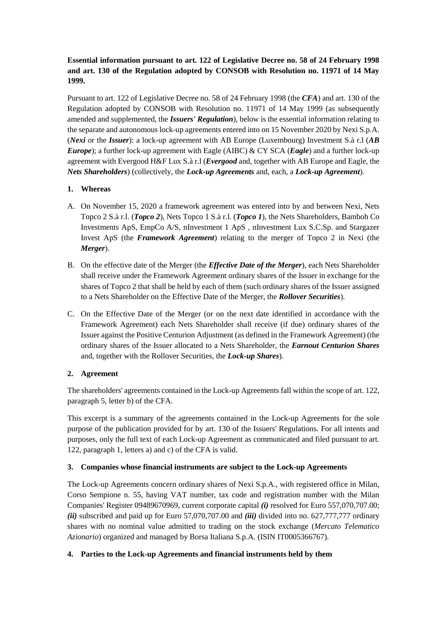# **Essential information pursuant to art. 122 of Legislative Decree no. 58 of 24 February 1998 and art. 130 of the Regulation adopted by CONSOB with Resolution no. 11971 of 14 May 1999.**

Pursuant to art. 122 of Legislative Decree no. 58 of 24 February 1998 (the *CFA*) and art. 130 of the Regulation adopted by CONSOB with Resolution no. 11971 of 14 May 1999 (as subsequently amended and supplemented, the *Issuers' Regulation*), below is the essential information relating to the separate and autonomous lock-up agreements entered into on 15 November 2020 by Nexi S.p.A. (*Nexi* or the *Issuer*): a lock-up agreement with AB Europe (Luxembourg) Investment S.à r.l (*AB Europe*); a further lock-up agreement with Eagle (AIBC) & CY SCA (*Eagle*) and a further lock-up agreement with Evergood H&F Lux S.à r.l (*Evergood* and, together with AB Europe and Eagle, the *Nets Shareholders*) (collectively, the *Lock-up Agreements* and, each, a *Lock-up Agreement*).

### **1. Whereas**

- A. On November 15, 2020 a framework agreement was entered into by and between Nexi, Nets Topco 2 S.à r.l. (*Topco 2*), Nets Topco 1 S.à r.l. (*Topco 1*), the Nets Shareholders, Bamboh Co Investments ApS, EmpCo A/S, nInvestment 1 ApS , nInvestment Lux S.C.Sp. and Stargazer Invest ApS (the *Framework Agreement*) relating to the merger of Topco 2 in Nexi (the *Merger*).
- B. On the effective date of the Merger (the *Effective Date of the Merger*), each Nets Shareholder shall receive under the Framework Agreement ordinary shares of the Issuer in exchange for the shares of Topco 2 that shall be held by each of them (such ordinary shares of the Issuer assigned to a Nets Shareholder on the Effective Date of the Merger, the *Rollover Securities*).
- C. On the Effective Date of the Merger (or on the next date identified in accordance with the Framework Agreement) each Nets Shareholder shall receive (if due) ordinary shares of the Issuer against the Positive Centurion Adjustment (as defined in the Framework Agreement) (the ordinary shares of the Issuer allocated to a Nets Shareholder, the *Earnout Centurion Shares* and, together with the Rollover Securities, the *Lock-up Shares*).

## **2. Agreement**

The shareholders' agreements contained in the Lock-up Agreements fall within the scope of art. 122, paragraph 5, letter b) of the CFA.

This excerpt is a summary of the agreements contained in the Lock-up Agreements for the sole purpose of the publication provided for by art. 130 of the Issuers' Regulations. For all intents and purposes, only the full text of each Lock-up Agreement as communicated and filed pursuant to art. 122, paragraph 1, letters a) and c) of the CFA is valid.

#### **3. Companies whose financial instruments are subject to the Lock-up Agreements**

The Lock-up Agreements concern ordinary shares of Nexi S.p.A., with registered office in Milan, Corso Sempione n. 55, having VAT number, tax code and registration number with the Milan Companies' Register 09489670969, current corporate capital *(i)* resolved for Euro 557,070,707.00; *(ii)* subscribed and paid up for Euro 57,070,707.00 and *(iii)* divided into no. 627,777,777 ordinary shares with no nominal value admitted to trading on the stock exchange (*Mercato Telematico Azionario*) organized and managed by Borsa Italiana S.p.A. (ISIN IT0005366767).

## **4. Parties to the Lock-up Agreements and financial instruments held by them**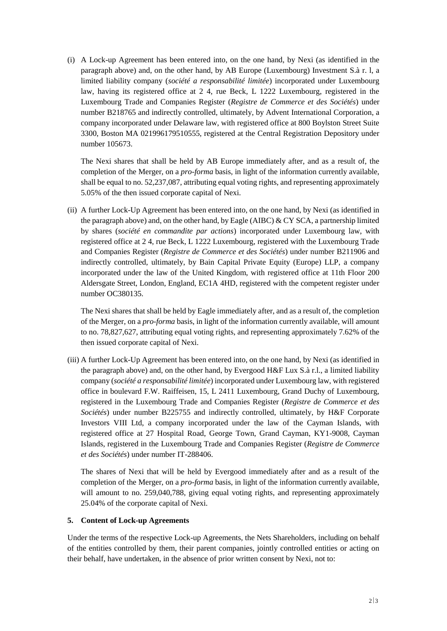(i) A Lock-up Agreement has been entered into, on the one hand, by Nexi (as identified in the paragraph above) and, on the other hand, by AB Europe (Luxembourg) Investment S.à r. l, a limited liability company (*société a responsabilité limitée*) incorporated under Luxembourg law, having its registered office at 2 4, rue Beck, L 1222 Luxembourg, registered in the Luxembourg Trade and Companies Register (*Registre de Commerce et des Sociétés*) under number B218765 and indirectly controlled, ultimately, by Advent International Corporation, a company incorporated under Delaware law, with registered office at 800 Boylston Street Suite 3300, Boston MA 021996179510555, registered at the Central Registration Depository under number 105673.

The Nexi shares that shall be held by AB Europe immediately after, and as a result of, the completion of the Merger, on a *pro-forma* basis, in light of the information currently available, shall be equal to no. 52,237,087, attributing equal voting rights, and representing approximately 5.05% of the then issued corporate capital of Nexi.

(ii) A further Lock-Up Agreement has been entered into, on the one hand, by Nexi (as identified in the paragraph above) and, on the other hand, by Eagle (AIBC) & CY SCA, a partnership limited by shares (*société en commandite par actions*) incorporated under Luxembourg law, with registered office at 2 4, rue Beck, L 1222 Luxembourg, registered with the Luxembourg Trade and Companies Register (*Registre de Commerce et des Sociétés*) under number B211906 and indirectly controlled, ultimately, by Bain Capital Private Equity (Europe) LLP, a company incorporated under the law of the United Kingdom, with registered office at 11th Floor 200 Aldersgate Street, London, England, EC1A 4HD, registered with the competent register under number OC380135.

The Nexi shares that shall be held by Eagle immediately after, and as a result of, the completion of the Merger, on a *pro-forma* basis, in light of the information currently available, will amount to no. 78,827,627, attributing equal voting rights, and representing approximately 7.62% of the then issued corporate capital of Nexi.

(iii) A further Lock-Up Agreement has been entered into, on the one hand, by Nexi (as identified in the paragraph above) and, on the other hand, by Evergood H&F Lux S.à r.l., a limited liability company (*société a responsabilité limitée*) incorporated under Luxembourg law, with registered office in boulevard F.W. Raiffeisen, 15, L 2411 Luxembourg, Grand Duchy of Luxembourg, registered in the Luxembourg Trade and Companies Register (*Registre de Commerce et des Sociétés*) under number B225755 and indirectly controlled, ultimately, by H&F Corporate Investors VIII Ltd, a company incorporated under the law of the Cayman Islands, with registered office at 27 Hospital Road, George Town, Grand Cayman, KY1-9008, Cayman Islands, registered in the Luxembourg Trade and Companies Register (*Registre de Commerce et des Sociétés*) under number IT-288406.

The shares of Nexi that will be held by Evergood immediately after and as a result of the completion of the Merger, on a *pro-forma* basis, in light of the information currently available, will amount to no. 259,040,788, giving equal voting rights, and representing approximately 25.04% of the corporate capital of Nexi.

#### **5. Content of Lock-up Agreements**

Under the terms of the respective Lock-up Agreements, the Nets Shareholders, including on behalf of the entities controlled by them, their parent companies, jointly controlled entities or acting on their behalf, have undertaken, in the absence of prior written consent by Nexi, not to: